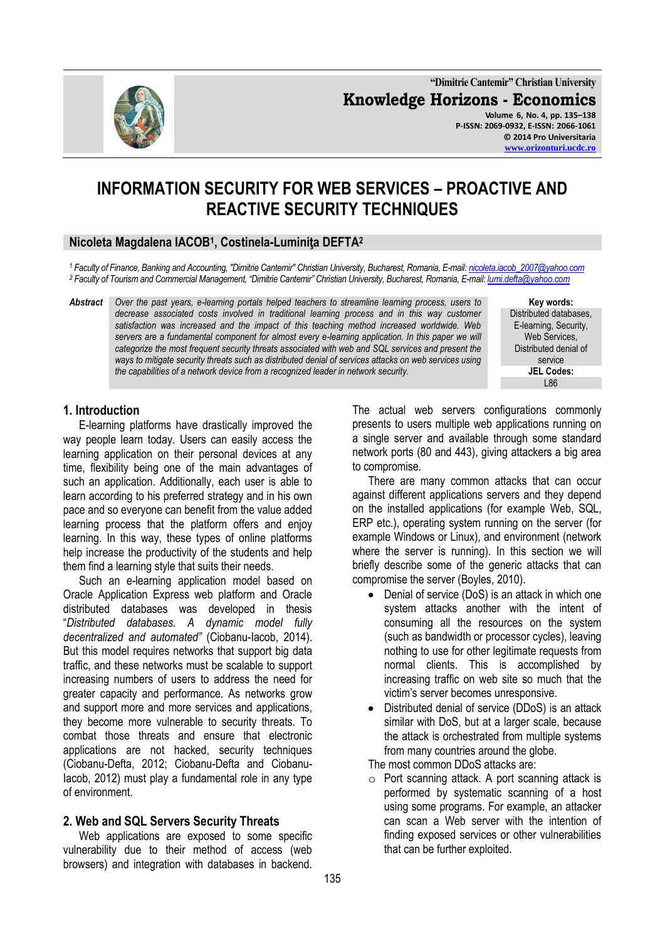**"Dimitrie Cantemir" Christian University Knowledge Horizons - Economics Volume 6, No. 4, pp. 135–138 P-ISSN: 2069-0932, E-ISSN: 2066-1061**

**© 2014 Pro Universitaria [www.orizonturi.ucdc.ro](http://www.orizonturi.ucdc.ro/)**

# **INFORMATION SECURITY FOR WEB SERVICES – PROACTIVE AND REACTIVE SECURITY TECHNIQUES**

### **Nicoleta Magdalena IACOB<sup>1</sup> , Costinela-Luminiţa DEFTA<sup>2</sup>**

*<sup>1</sup> Faculty of Finance, Banking and Accounting, "Dimitrie Cantemir" Christian University, Bucharest, Romania, E-mail[: nicoleta.iacob\\_2007@yahoo.com](mailto:nicoleta.iacob_2007@yahoo.com) <sup>2</sup> Faculty of Tourism and Commercial Management, "Dimitrie Cantemir" Christian University, Bucharest, Romania, E-mail: [lumi.defta@yahoo.com](mailto:lumi.defta@yahoo.com)*

*Abstract Over the past years, e-learning portals helped teachers to streamline learning process, users to*  decrease associated costs involved in traditional learning process and in this way customer *satisfaction was increased and the impact of this teaching method increased worldwide. Web servers are a fundamental component for almost every e-learning application. In this paper we will categorize the most frequent security threats associated with web and SQL services and present the ways to mitigate security threats such as distributed denial of services attacks on web services using the capabilities of a network device from a recognized leader in network security.*

> The actual web servers configurations commonly presents to users multiple web applications running on a single server and available through some standard network ports (80 and 443), giving attackers a big area to compromise.

> There are many common attacks that can occur against different applications servers and they depend on the installed applications (for example Web, SQL, ERP etc.), operating system running on the server (for example Windows or Linux), and environment (network where the server is running). In this section we will briefly describe some of the generic attacks that can compromise the server (Boyles, 2010).

- Denial of service (DoS) is an attack in which one system attacks another with the intent of consuming all the resources on the system (such as bandwidth or processor cycles), leaving nothing to use for other legitimate requests from normal clients. This is accomplished by increasing traffic on web site so much that the victim's server becomes unresponsive.
- Distributed denial of service (DDoS) is an attack  $\bullet$ similar with DoS, but at a larger scale, because the attack is orchestrated from multiple systems from many countries around the globe.

The most common DDoS attacks are:

o Port scanning attack. A port scanning attack is performed by systematic scanning of a host using some programs. For example, an attacker can scan a Web server with the intention of finding exposed services or other vulnerabilities that can be further exploited.

# **1. Introduction**

E-learning platforms have drastically improved the way people learn today. Users can easily access the learning application on their personal devices at any time, flexibility being one of the main advantages of such an application. Additionally, each user is able to learn according to his preferred strategy and in his own pace and so everyone can benefit from the value added learning process that the platform offers and enjoy learning. In this way, these types of online platforms help increase the productivity of the students and help them find a learning style that suits their needs.

Such an e-learning application model based on Oracle Application Express web platform and Oracle distributed databases was developed in thesis "*Distributed databases. A dynamic model fully decentralized and automated"* (Ciobanu-Iacob, 2014). But this model requires networks that support big data traffic, and these networks must be scalable to support increasing numbers of users to address the need for greater capacity and performance. As networks grow and support more and more services and applications, they become more vulnerable to security threats. To combat those threats and ensure that electronic applications are not hacked, security techniques (Ciobanu-Defta, 2012; Ciobanu-Defta and Ciobanu-Iacob, 2012) must play a fundamental role in any type of environment.

## **2. Web and SQL Servers Security Threats**

Web applications are exposed to some specific vulnerability due to their method of access (web browsers) and integration with databases in backend. E-learning, Security, Web Services. Distributed denial of service **JEL Codes:** L86

**Key words:** Distributed databases,

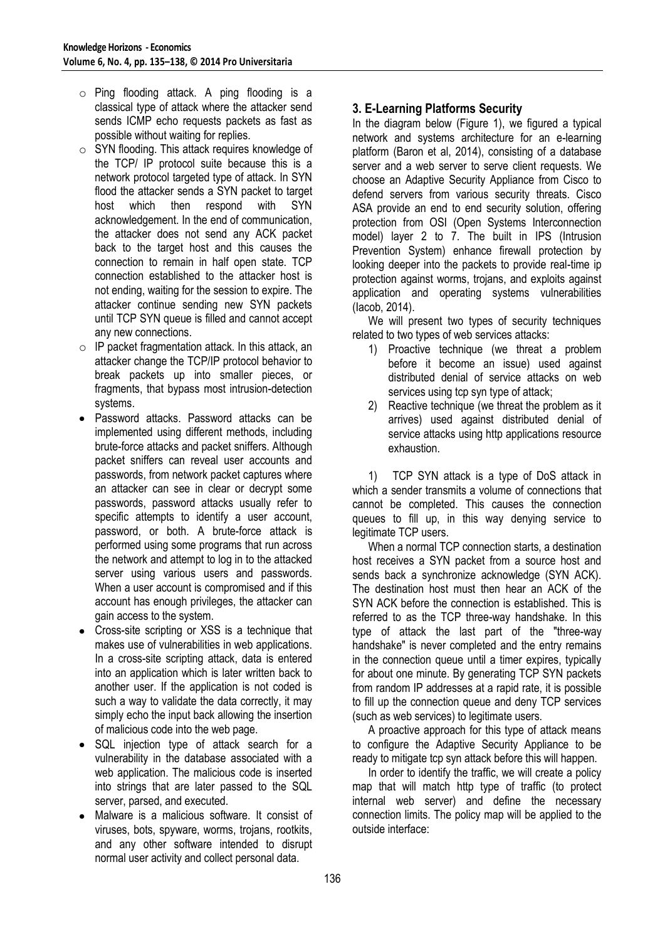- o Ping flooding attack. A ping flooding is a classical type of attack where the attacker send sends ICMP echo requests packets as fast as possible without waiting for replies.
- o SYN flooding. This attack requires knowledge of the TCP/ IP protocol suite because this is a network protocol targeted type of attack. In SYN flood the attacker sends a SYN packet to target host which then respond with SYN acknowledgement. In the end of communication, the attacker does not send any ACK packet back to the target host and this causes the connection to remain in half open state. TCP connection established to the attacker host is not ending, waiting for the session to expire. The attacker continue sending new SYN packets until TCP SYN queue is filled and cannot accept any new connections.
- $\circ$  IP packet fragmentation attack. In this attack, an attacker change the TCP/IP protocol behavior to break packets up into smaller pieces, or fragments, that bypass most intrusion-detection systems.
- Password attacks. Password attacks can be implemented using different methods, including brute-force attacks and packet sniffers. Although packet sniffers can reveal user accounts and passwords, from network packet captures where an attacker can see in clear or decrypt some passwords, password attacks usually refer to specific attempts to identify a user account, password, or both. A brute-force attack is performed using some programs that run across the network and attempt to log in to the attacked server using various users and passwords. When a user account is compromised and if this account has enough privileges, the attacker can gain access to the system.
- Cross-site scripting or XSS is a technique that makes use of vulnerabilities in web applications. In a cross-site scripting attack, data is entered into an application which is later written back to another user. If the application is not coded is such a way to validate the data correctly, it may simply echo the input back allowing the insertion of malicious code into the web page.
- SQL injection type of attack search for a vulnerability in the database associated with a web application. The malicious code is inserted into strings that are later passed to the SQL server, parsed, and executed.
- Malware is a malicious software. It consist of viruses, bots, spyware, worms, trojans, rootkits, and any other software intended to disrupt normal user activity and collect personal data.

# **3. E-Learning Platforms Security**

In the diagram below (Figure 1), we figured a typical network and systems architecture for an e-learning platform (Baron et al, 2014), consisting of a database server and a web server to serve client requests. We choose an Adaptive Security Appliance from Cisco to defend servers from various security threats. Cisco ASA provide an end to end security solution, offering protection from OSI (Open Systems Interconnection model) layer 2 to 7. The built in IPS (Intrusion Prevention System) enhance firewall protection by looking deeper into the packets to provide real-time ip protection against worms, trojans, and exploits against application and operating systems vulnerabilities (Iacob, 2014).

We will present two types of security techniques related to two types of web services attacks:

- 1) Proactive technique (we threat a problem before it become an issue) used against distributed denial of service attacks on web services using tcp syn type of attack:
- 2) Reactive technique (we threat the problem as it arrives) used against distributed denial of service attacks using http applications resource exhaustion.

1) TCP SYN attack is a type of DoS attack in which a sender transmits a volume of connections that cannot be completed. This causes the connection queues to fill up, in this way denying service to legitimate TCP users.

When a normal TCP connection starts, a destination host receives a SYN packet from a source host and sends back a synchronize acknowledge (SYN ACK). The destination host must then hear an ACK of the SYN ACK before the connection is established. This is referred to as the TCP three-way handshake. In this type of attack the last part of the "three-way handshake" is never completed and the entry remains in the connection queue until a timer expires, typically for about one minute. By generating TCP SYN packets from random IP addresses at a rapid rate, it is possible to fill up the connection queue and deny TCP services (such as web services) to legitimate users.

A proactive approach for this type of attack means to configure the Adaptive Security Appliance to be ready to mitigate tcp syn attack before this will happen.

In order to identify the traffic, we will create a policy map that will match http type of traffic (to protect internal web server) and define the necessary connection limits. The policy map will be applied to the outside interface: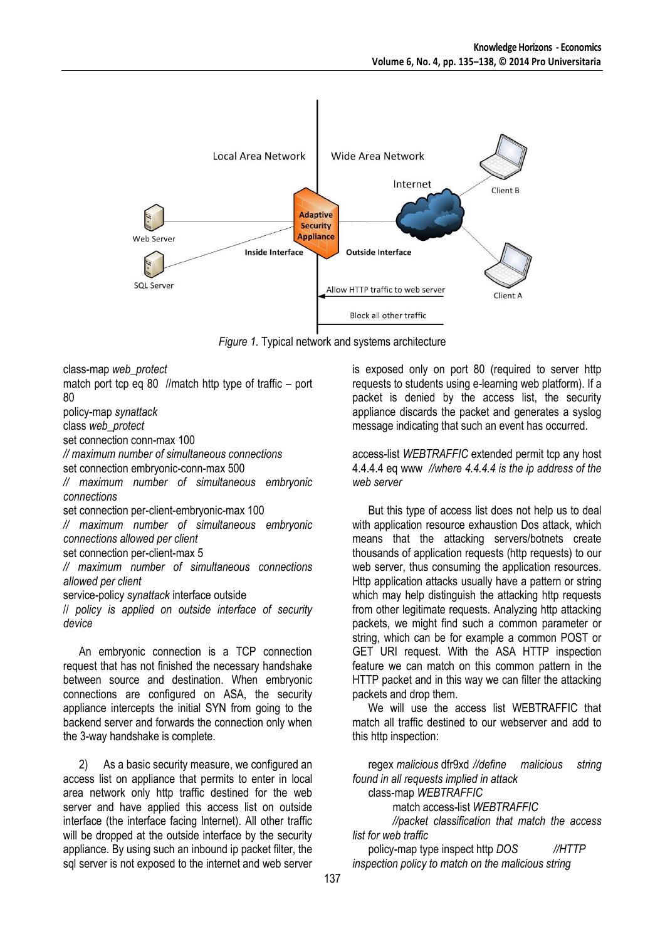

*Figure 1.* Typical network and systems architecture

class-map *web\_protect*

match port tcp eq 80 //match http type of traffic – port 80

policy-map *synattack*

class *web\_protect*

set connection conn-max 100

*// maximum number of simultaneous connections*

set connection embryonic-conn-max 500

*// maximum number of simultaneous embryonic connections*

set connection per-client-embryonic-max 100

*// maximum number of simultaneous embryonic connections allowed per client*

set connection per-client-max 5

*// maximum number of simultaneous connections allowed per client*

service-policy *synattack* interface outside

// *policy is applied on outside interface of security device*

An embryonic connection is a TCP connection request that has not finished the necessary handshake between source and destination. When embryonic connections are configured on ASA, the security appliance intercepts the initial SYN from going to the backend server and forwards the connection only when the 3-way handshake is complete.

2) As a basic security measure, we configured an access list on appliance that permits to enter in local area network only http traffic destined for the web server and have applied this access list on outside interface (the interface facing Internet). All other traffic will be dropped at the outside interface by the security appliance. By using such an inbound ip packet filter, the sql server is not exposed to the internet and web server

is exposed only on port 80 (required to server http requests to students using e-learning web platform). If a packet is denied by the access list, the security appliance discards the packet and generates a syslog message indicating that such an event has occurred.

access-list *WEBTRAFFIC* extended permit tcp any host 4.4.4.4 eq www *//where 4.4.4.4 is the ip address of the web server*

But this type of access list does not help us to deal with application resource exhaustion Dos attack, which means that the attacking servers/botnets create thousands of application requests (http requests) to our web server, thus consuming the application resources. Http application attacks usually have a pattern or string which may help distinguish the attacking http requests from other legitimate requests. Analyzing http attacking packets, we might find such a common parameter or string, which can be for example a common POST or GET URI request. With the ASA HTTP inspection feature we can match on this common pattern in the HTTP packet and in this way we can filter the attacking packets and drop them.

We will use the access list WEBTRAFFIC that match all traffic destined to our webserver and add to this http inspection:

regex *malicious* dfr9xd *//define malicious string found in all requests implied in attack*

class-map *WEBTRAFFIC*

match access-list *WEBTRAFFIC*

*//packet classification that match the access list for web traffic*

policy-map type inspect http *DOS //HTTP inspection policy to match on the malicious string*